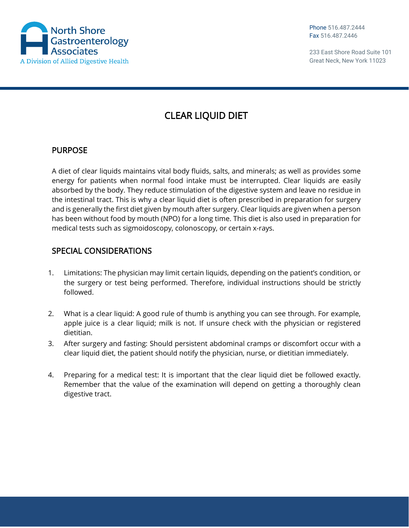

Phone 516.487.2444 Fax 516.487.2446

233 East Shore Road Suite 101 Great Neck, New York 11023

## CLEAR LIQUID DIET

## PURPOSE

A diet of clear liquids maintains vital body fluids, salts, and minerals; as well as provides some energy for patients when normal food intake must be interrupted. Clear liquids are easily absorbed by the body. They reduce stimulation of the digestive system and leave no residue in the intestinal tract. This is why a clear liquid diet is often prescribed in preparation for surgery and is generally the first diet given by mouth after surgery. Clear liquids are given when a person has been without food by mouth (NPO) for a long time. This diet is also used in preparation for medical tests such as sigmoidoscopy, colonoscopy, or certain x-rays.

## SPECIAL CONSIDERATIONS

- 1. Limitations: The physician may limit certain liquids, depending on the patient's condition, or the surgery or test being performed. Therefore, individual instructions should be strictly followed.
- 2. What is a clear liquid: A good rule of thumb is anything you can see through. For example, apple juice is a clear liquid; milk is not. If unsure check with the physician or registered dietitian.
- 3. After surgery and fasting: Should persistent abdominal cramps or discomfort occur with a clear liquid diet, the patient should notify the physician, nurse, or dietitian immediately.
- 4. Preparing for a medical test: It is important that the clear liquid diet be followed exactly. Remember that the value of the examination will depend on getting a thoroughly clean digestive tract.